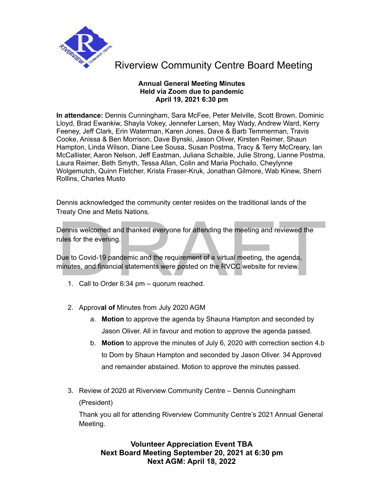

### **Annual General Meeting Minutes Held via Zoom due to pandemic April 19, 2021 6:30 pm**

**In attendance:** Dennis Cunningham, Sara McFee, Peter Melville, Scott Brown, Dominic Lloyd, Brad Ewankiw, Shayla Vokey, Jennefer Larsen, May Wady, Andrew Ward, Kerry Feeney, Jeff Clark, Erin Waterman, Karen Jones, Dave & Barb Temmerman, Travis Cooke, Anissa & Ben Morrison, Dave Bynski, Jason Oliver, Kirsten Reimer, Shaun Hampton, Linda Wilson, Diane Lee Sousa, Susan Postma, Tracy & Terry McCreary, Ian McCallister, Aaron Nelson, Jeff Eastman, Juliana Schaible, Julie Strong, Lianne Postma, Laura Reimer, Beth Smyth, Tessa Allan, Colin and Maria Pochailo, Cheylynne Wolgemutch, Quinn Fletcher, Krista Fraser-Kruk, Jonathan Gilmore, Wab Kinew, Sherri Rollins, Charles Musto

Dennis acknowledged the community center resides on the traditional lands of the Treaty One and Metis Nations.

Treaty One and Metis Nations.<br>
Dennis welcomed and thanked everyone for attending the meeting and reviewed the<br>
rules for the evering.<br>
Due to Covid-19 pandemic and the requirement of a virtual meeting, the agenda,<br>
minute Dennis welcomed and thanked everyone for attending the meeting and reviewed the rules for the evening.

Due to Covid-19 pandemic and the requirement of a virtual meeting, the agenda, minutes, and financial statements were posted on the RVCC website for review.

- 1. Call to Order 6:34 pm quorum reached.
- 2. Approv**al of** Minutes from July 2020 AGM
	- a. **Motion** to approve the agenda by Shauna Hampton and seconded by Jason Oliver. All in favour and motion to approve the agenda passed.
	- b. **Motion** to approve the minutes of July 6, 2020 with correction section 4.b to Dom by Shaun Hampton and seconded by Jason Oliver. 34 Approved and remainder abstained. Motion to approve the minutes passed.
- 3. Review of 2020 at Riverview Community Centre Dennis Cunningham (President)

Thank you all for attending Riverview Community Centre's 2021 Annual General Meeting.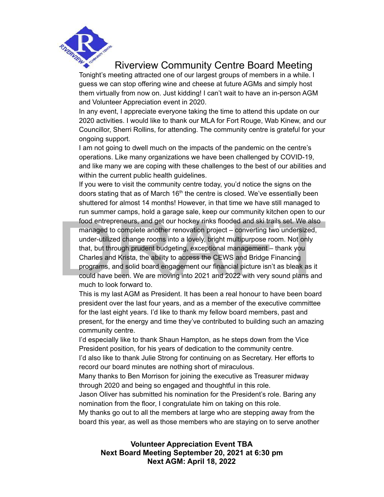

Tonight's meeting attracted one of our largest groups of members in a while. I guess we can stop offering wine and cheese at future AGMs and simply host them virtually from now on. Just kidding! I can't wait to have an in-person AGM and Volunteer Appreciation event in 2020.

In any event, I appreciate everyone taking the time to attend this update on our 2020 activities. I would like to thank our MLA for Fort Rouge, Wab Kinew, and our Councillor, Sherri Rollins, for attending. The community centre is grateful for your ongoing support.

I am not going to dwell much on the impacts of the pandemic on the centre's operations. Like many organizations we have been challenged by COVID-19, and like many we are coping with these challenges to the best of our abilities and within the current public health guidelines.

run summer camps, hold a garage sale, keep our community kitchen open to our<br>food entrepreneurs, and get our hockey rinks flooded and ski trails set. We also<br>managed to complete another renovation project – converting two If you were to visit the community centre today, you'd notice the signs on the doors stating that as of March 16<sup>th</sup> the centre is closed. We've essentially been shuttered for almost 14 months! However, in that time we have still managed to run summer camps, hold a garage sale, keep our community kitchen open to our food entrepreneurs, and get our hockey rinks flooded and ski trails set. We also managed to complete another renovation project – converting two undersized, under-utilized change rooms into a lovely, bright multipurpose room. Not only that, but through prudent budgeting, exceptional management – thank you Charles and Krista, the ability to access the CEWS and Bridge Financing programs, and solid board engagement our financial picture isn't as bleak as it could have been. We are moving into 2021 and 2022 with very sound plans and much to look forward to.

This is my last AGM as President. It has been a real honour to have been board president over the last four years, and as a member of the executive committee for the last eight years. I'd like to thank my fellow board members, past and present, for the energy and time they've contributed to building such an amazing community centre.

I'd especially like to thank Shaun Hampton, as he steps down from the Vice President position, for his years of dedication to the community centre.

I'd also like to thank Julie Strong for continuing on as Secretary. Her efforts to record our board minutes are nothing short of miraculous.

Many thanks to Ben Morrison for joining the executive as Treasurer midway through 2020 and being so engaged and thoughtful in this role.

Jason Oliver has submitted his nomination for the President's role. Baring any nomination from the floor, I congratulate him on taking on this role.

My thanks go out to all the members at large who are stepping away from the board this year, as well as those members who are staying on to serve another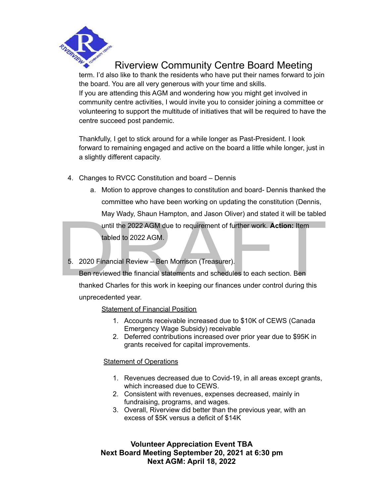

term. I'd also like to thank the residents who have put their names forward to join the board. You are all very generous with your time and skills. If you are attending this AGM and wondering how you might get involved in community centre activities, I would invite you to consider joining a committee or volunteering to support the multitude of initiatives that will be required to have the centre succeed post pandemic.

Thankfully, I get to stick around for a while longer as Past-President. I look forward to remaining engaged and active on the board a little while longer, just in a slightly different capacity.

- 4. Changes to RVCC Constitution and board Dennis
	- a. Motion to approve changes to constitution and board- Dennis thanked the committee who have been working on updating the constitution (Dennis, May Wady, Shaun Hampton, and Jason Oliver) and stated it will be tabled

until the 2022 AGM due to requirement of further work. **Action:** Item tabled to 2022 AGM.

5. 2020 Financial Review – Ben Morrison (Treasurer).

May Wady, Shaun Hampton, and Jason Oliver) and stated it will be tabled<br>until the 2022 AGM due to requirement of further work. Action: Item<br>tabled to 2022 AGM.<br>5. 2020 Financial Review – Ben Morrison (Treasurer).<br>Ben revie Ben reviewed the financial statements and schedules to each section. Ben thanked Charles for this work in keeping our finances under control during this unprecedented year.

### Statement of Financial Position

- 1. Accounts receivable increased due to \$10K of CEWS (Canada Emergency Wage Subsidy) receivable
- 2. Deferred contributions increased over prior year due to \$95K in grants received for capital improvements.

### Statement of Operations

- 1. Revenues decreased due to Covid-19, in all areas except grants, which increased due to CEWS.
- 2. Consistent with revenues, expenses decreased, mainly in fundraising, programs, and wages.
- 3. Overall, Riverview did better than the previous year, with an excess of \$5K versus a deficit of \$14K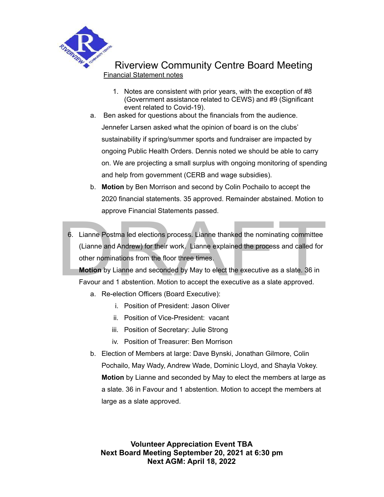

## Riverview Community Centre Board Meeting Financial Statement notes

- 1. Notes are consistent with prior years, with the exception of #8 (Government assistance related to CEWS) and #9 (Significant event related to Covid-19).
- a. Ben asked for questions about the financials from the audience. Jennefer Larsen asked what the opinion of board is on the clubs' sustainability if spring/summer sports and fundraiser are impacted by ongoing Public Health Orders. Dennis noted we should be able to carry on. We are projecting a small surplus with ongoing monitoring of spending and help from government (CERB and wage subsidies).
- b. **Motion** by Ben Morrison and second by Colin Pochailo to accept the 2020 financial statements. 35 approved. Remainder abstained. Motion to approve Financial Statements passed.
- approve Financial Statements passed.<br>
6. Lianne Postma led elections process. Lianne thanked the nominating committee<br>
(Lianne and Andrew) for their work. Lianne explained the process and called for<br>
other nominations from 6. Lianne Postma led elections process. Lianne thanked the nominating committee (Lianne and Andrew) for their work. Lianne explained the process and called for other nominations from the floor three times.

**Motion** by Lianne and seconded by May to elect the executive as a slate. 36 in Favour and 1 abstention. Motion to accept the executive as a slate approved.

- a. Re-election Officers (Board Executive):
	- i. Position of President: Jason Oliver
	- ii. Position of Vice-President: vacant
	- iii. Position of Secretary: Julie Strong
	- iv. Position of Treasurer: Ben Morrison
- b. Election of Members at large: Dave Bynski, Jonathan Gilmore, Colin Pochailo, May Wady, Andrew Wade, Dominic Lloyd, and Shayla Vokey. **Motion** by Lianne and seconded by May to elect the members at large as a slate. 36 in Favour and 1 abstention. Motion to accept the members at large as a slate approved.